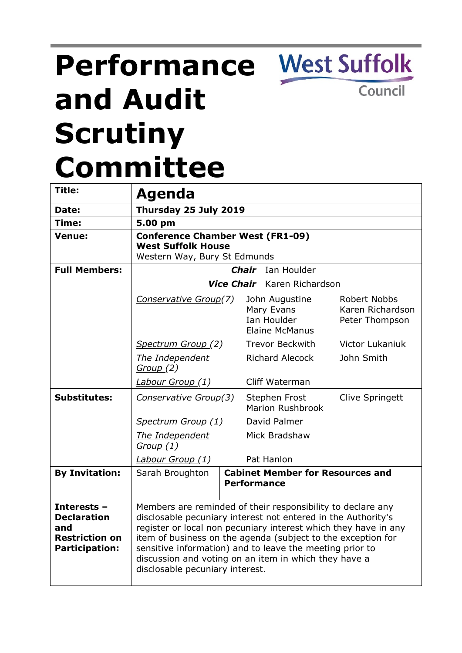# **Performance and Audit Scrutiny Committee**

**Title: Agenda Date: Thursday 25 July 2019 Time: 5.00 pm Venue: Conference Chamber West (FR1-09) West Suffolk House** Western Way, Bury St Edmunds **Full Members:** *Chair* Ian Houlder *Vice Chair* Karen Richardson *Conservative Group(7)* John Augustine Mary Evans Ian Houlder Elaine McManus Robert Nobbs Karen Richardson Peter Thompson *Spectrum Group (2)* Trevor Beckwith Victor Lukaniuk *The Independent Group (2)* Richard Alecock John Smith *Labour Group (1)* Cliff Waterman **Substitutes:** *Conservative Group(3)* Stephen Frost Marion Rushbrook Clive Springett *Spectrum Group (1)* David Palmer *The Independent Group (1)* Mick Bradshaw *Labour Group (1)* Pat Hanlon **By Invitation:** Sarah Broughton **Cabinet Member for Resources and Performance Interests – Declaration and Restriction on Participation:** Members are reminded of their responsibility to declare any disclosable pecuniary interest not entered in the Authority's register or local non pecuniary interest which they have in any item of business on the agenda (subject to the exception for sensitive information) and to leave the meeting prior to discussion and voting on an item in which they have a disclosable pecuniary interest.

**West Suffolk** 

Council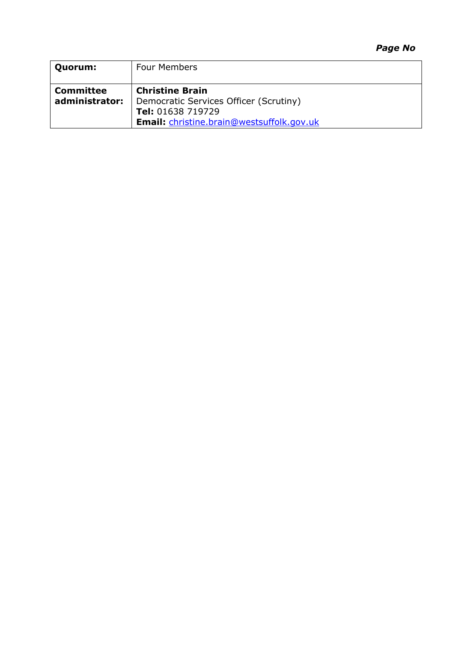### *Page No*

| Quorum:                            | <b>Four Members</b>                                                                                                                       |
|------------------------------------|-------------------------------------------------------------------------------------------------------------------------------------------|
| <b>Committee</b><br>administrator: | <b>Christine Brain</b><br>Democratic Services Officer (Scrutiny)<br>Tel: 01638 719729<br><b>Email:</b> christine.brain@westsuffolk.gov.uk |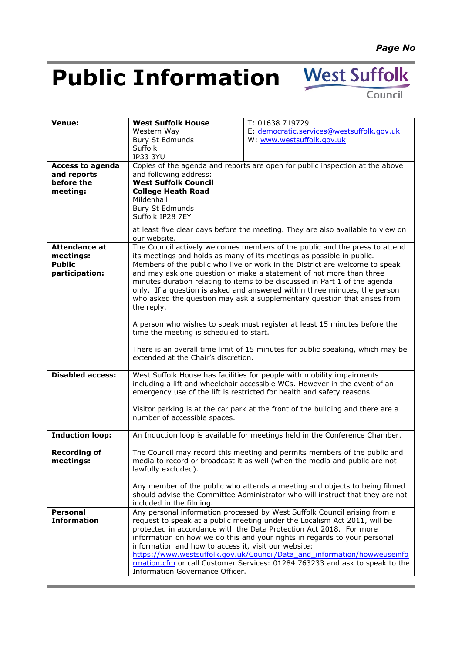# **Public Information** West Suffolk

Council

| Venue:                  | <b>West Suffolk House</b>                                                                                                                        | T: 01638 719729                                                              |  |  |  |
|-------------------------|--------------------------------------------------------------------------------------------------------------------------------------------------|------------------------------------------------------------------------------|--|--|--|
|                         | Western Way                                                                                                                                      | E: democratic.services@westsuffolk.gov.uk                                    |  |  |  |
|                         | <b>Bury St Edmunds</b>                                                                                                                           | W: www.westsuffolk.gov.uk                                                    |  |  |  |
|                         | Suffolk                                                                                                                                          |                                                                              |  |  |  |
|                         | <b>IP33 3YU</b>                                                                                                                                  |                                                                              |  |  |  |
| <b>Access to agenda</b> |                                                                                                                                                  | Copies of the agenda and reports are open for public inspection at the above |  |  |  |
| and reports             | and following address:                                                                                                                           |                                                                              |  |  |  |
| before the              | <b>West Suffolk Council</b>                                                                                                                      |                                                                              |  |  |  |
| meeting:                | <b>College Heath Road</b>                                                                                                                        |                                                                              |  |  |  |
|                         | Mildenhall                                                                                                                                       |                                                                              |  |  |  |
|                         | <b>Bury St Edmunds</b>                                                                                                                           |                                                                              |  |  |  |
|                         | Suffolk IP28 7EY                                                                                                                                 |                                                                              |  |  |  |
|                         | at least five clear days before the meeting. They are also available to view on                                                                  |                                                                              |  |  |  |
|                         | our website.                                                                                                                                     |                                                                              |  |  |  |
| <b>Attendance at</b>    | The Council actively welcomes members of the public and the press to attend                                                                      |                                                                              |  |  |  |
| meetings:               | its meetings and holds as many of its meetings as possible in public.                                                                            |                                                                              |  |  |  |
| <b>Public</b>           |                                                                                                                                                  | Members of the public who live or work in the District are welcome to speak  |  |  |  |
| participation:          |                                                                                                                                                  | and may ask one question or make a statement of not more than three          |  |  |  |
|                         | minutes duration relating to items to be discussed in Part 1 of the agenda                                                                       |                                                                              |  |  |  |
|                         | only. If a question is asked and answered within three minutes, the person                                                                       |                                                                              |  |  |  |
|                         | who asked the question may ask a supplementary question that arises from                                                                         |                                                                              |  |  |  |
|                         | the reply.                                                                                                                                       |                                                                              |  |  |  |
|                         |                                                                                                                                                  |                                                                              |  |  |  |
|                         | A person who wishes to speak must register at least 15 minutes before the                                                                        |                                                                              |  |  |  |
|                         | time the meeting is scheduled to start.                                                                                                          |                                                                              |  |  |  |
|                         | There is an overall time limit of 15 minutes for public speaking, which may be                                                                   |                                                                              |  |  |  |
|                         | extended at the Chair's discretion.                                                                                                              |                                                                              |  |  |  |
|                         |                                                                                                                                                  |                                                                              |  |  |  |
| <b>Disabled access:</b> | West Suffolk House has facilities for people with mobility impairments                                                                           |                                                                              |  |  |  |
|                         | including a lift and wheelchair accessible WCs. However in the event of an                                                                       |                                                                              |  |  |  |
|                         |                                                                                                                                                  | emergency use of the lift is restricted for health and safety reasons.       |  |  |  |
|                         |                                                                                                                                                  |                                                                              |  |  |  |
|                         | Visitor parking is at the car park at the front of the building and there are a                                                                  |                                                                              |  |  |  |
|                         | number of accessible spaces.                                                                                                                     |                                                                              |  |  |  |
| <b>Induction loop:</b>  | An Induction loop is available for meetings held in the Conference Chamber.                                                                      |                                                                              |  |  |  |
|                         |                                                                                                                                                  |                                                                              |  |  |  |
| <b>Recording of</b>     |                                                                                                                                                  | The Council may record this meeting and permits members of the public and    |  |  |  |
| meetings:               |                                                                                                                                                  | media to record or broadcast it as well (when the media and public are not   |  |  |  |
|                         | lawfully excluded).                                                                                                                              |                                                                              |  |  |  |
|                         |                                                                                                                                                  |                                                                              |  |  |  |
|                         |                                                                                                                                                  | Any member of the public who attends a meeting and objects to being filmed   |  |  |  |
|                         | should advise the Committee Administrator who will instruct that they are not                                                                    |                                                                              |  |  |  |
|                         | included in the filming.                                                                                                                         |                                                                              |  |  |  |
| <b>Personal</b>         |                                                                                                                                                  | Any personal information processed by West Suffolk Council arising from a    |  |  |  |
| <b>Information</b>      |                                                                                                                                                  | request to speak at a public meeting under the Localism Act 2011, will be    |  |  |  |
|                         | protected in accordance with the Data Protection Act 2018. For more<br>information on how we do this and your rights in regards to your personal |                                                                              |  |  |  |
|                         |                                                                                                                                                  |                                                                              |  |  |  |
|                         | information and how to access it, visit our website:                                                                                             |                                                                              |  |  |  |
|                         |                                                                                                                                                  | https://www.westsuffolk.gov.uk/Council/Data_and_information/howweuseinfo     |  |  |  |
|                         |                                                                                                                                                  | rmation.cfm or call Customer Services: 01284 763233 and ask to speak to the  |  |  |  |
|                         | Information Governance Officer.                                                                                                                  |                                                                              |  |  |  |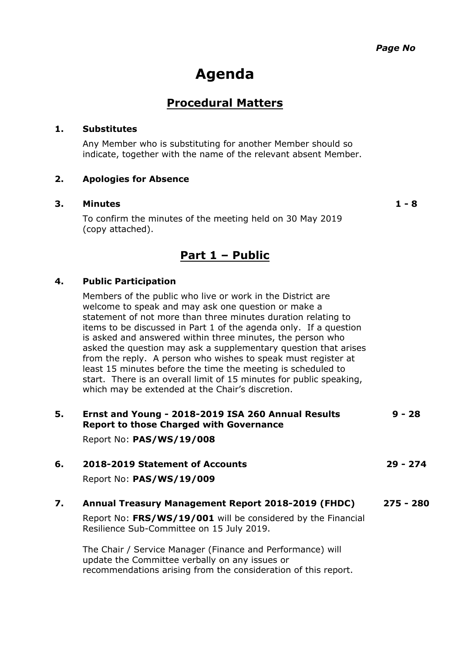# **Agenda**

# **Procedural Matters**

### **1. Substitutes**

Any Member who is substituting for another Member should so indicate, together with the name of the relevant absent Member.

### **2. Apologies for Absence**

#### **3. Minutes 1 - 8**

To confirm the minutes of the meeting held on 30 May 2019 (copy attached).

## **Part 1 – Public**

### **4. Public Participation**

Members of the public who live or work in the District are welcome to speak and may ask one question or make a statement of not more than three minutes duration relating to items to be discussed in Part 1 of the agenda only. If a question is asked and answered within three minutes, the person who asked the question may ask a supplementary question that arises from the reply. A person who wishes to speak must register at least 15 minutes before the time the meeting is scheduled to start. There is an overall limit of 15 minutes for public speaking, which may be extended at the Chair's discretion.

| 5. | Ernst and Young - 2018-2019 ISA 260 Annual Results<br><b>Report to those Charged with Governance</b>         | $9 - 28$    |
|----|--------------------------------------------------------------------------------------------------------------|-------------|
|    | Report No: PAS/WS/19/008                                                                                     |             |
| 6. | 2018-2019 Statement of Accounts                                                                              | $29 - 274$  |
|    | Report No: PAS/WS/19/009                                                                                     |             |
| 7. | Annual Treasury Management Report 2018-2019 (FHDC)                                                           | $275 - 280$ |
|    | Report No: FRS/WS/19/001 will be considered by the Financial<br>Resilience Sub-Committee on 15 July 2019.    |             |
|    | The Chair / Service Manager (Finance and Performance) will<br>update the Committee verbally on any issues or |             |

recommendations arising from the consideration of this report.